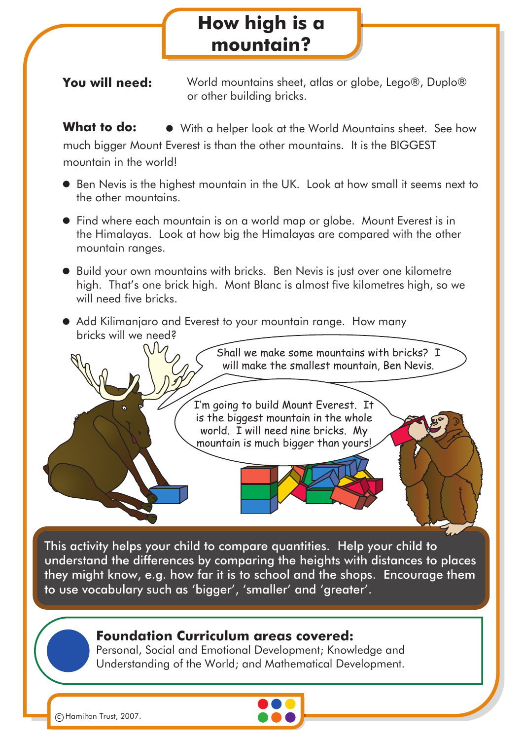## **How high is a mountain?**

**You will need:** World mountains sheet, atlas or globe, Lego®, Duplo® or other building bricks.

**What to do:**  $\bullet$  With a helper look at the World Mountains sheet. See how much bigger Mount Everest is than the other mountains. It is the BIGGEST mountain in the world!

- Ben Nevis is the highest mountain in the UK. Look at how small it seems next to the other mountains.
- Find where each mountain is on a world map or globe. Mount Everest is in the Himalayas. Look at how big the Himalayas are compared with the other mountain ranges.
- Build your own mountains with bricks. Ben Nevis is just over one kilometre high. That's one brick high. Mont Blanc is almost five kilometres high, so we will need five bricks.
- Add Kilimanjaro and Everest to your mountain range. How many bricks will we need?



This activity helps your child to compare quantities. Help your child to understand the differences by comparing the heights with distances to places they might know, e.g. how far it is to school and the shops. Encourage them to use vocabulary such as 'bigger', 'smaller' and 'greater'.

## **Foundation Curriculum areas covered:**

Personal, Social and Emotional Development; Knowledge and Understanding of the World; and Mathematical Development.